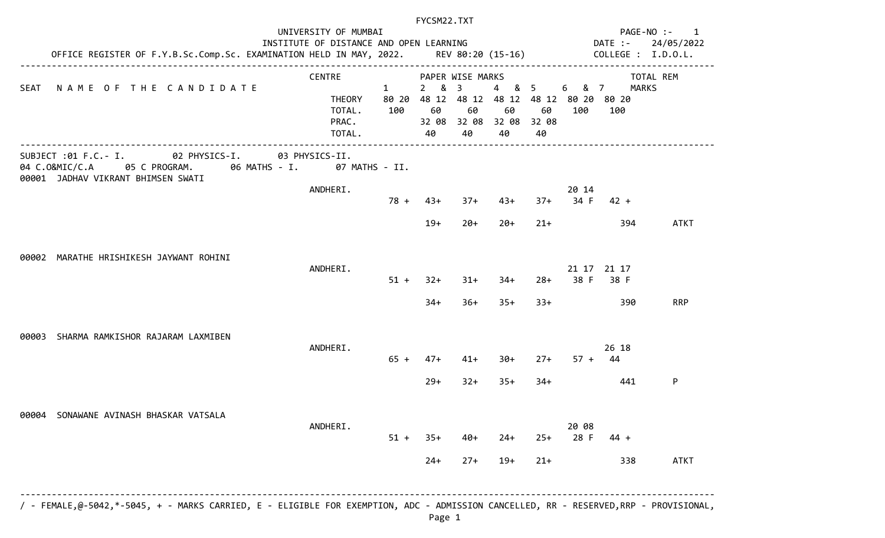|                                                                                                                              | FYCSM22.TXT                                                                                                                      |                              |                                       |                            |                                        |                                  |               |                                                            |                |
|------------------------------------------------------------------------------------------------------------------------------|----------------------------------------------------------------------------------------------------------------------------------|------------------------------|---------------------------------------|----------------------------|----------------------------------------|----------------------------------|---------------|------------------------------------------------------------|----------------|
|                                                                                                                              | UNIVERSITY OF MUMBAI                                                                                                             |                              |                                       |                            |                                        |                                  |               | PAGE-NO :-<br>DATE :-                                      | $\overline{1}$ |
|                                                                                                                              | INSTITUTE OF DISTANCE AND OPEN LEARNING<br>OFFICE REGISTER OF F.Y.B.Sc.Comp.Sc. EXAMINATION HELD IN MAY, 2022. REV 80:20 (15-16) |                              |                                       |                            |                                        | 24/05/2022<br>COLLEGE : I.D.O.L. |               |                                                            |                |
|                                                                                                                              | <b>CENTRE</b>                                                                                                                    |                              | PAPER WISE MARKS                      |                            |                                        |                                  |               | TOTAL REM                                                  |                |
| NAME OF THE CANDIDATE<br>SEAT                                                                                                | <b>THEORY</b><br>TOTAL.<br>PRAC.<br>TOTAL.                                                                                       | $\mathbf{1}$<br>80 20<br>100 | &<br>$2^{\circ}$<br>60<br>32 08<br>40 | $\overline{3}$<br>60<br>40 | $4 -$<br>60<br>32 08 32 08 32 08<br>40 | & 5<br>60<br>40                  | 6 & 7<br>100  | <b>MARKS</b><br>48 12 48 12 48 12 48 12 80 20 80 20<br>100 |                |
| 02 PHYSICS-I.<br>SUBJECT :01 F.C.- I.<br>05 C PROGRAM. 06 MATHS - I.<br>04 C.O&MIC/C.A<br>00001 JADHAV VIKRANT BHIMSEN SWATI | 03 PHYSICS-II.                                                                                                                   | 07 MATHS - II.               |                                       |                            |                                        |                                  |               |                                                            |                |
|                                                                                                                              | ANDHERI.                                                                                                                         | $78 +$                       | $43+$                                 | $37 +$                     | $43+$                                  | $37+$                            | 20 14<br>34 F | $42 +$                                                     |                |
|                                                                                                                              |                                                                                                                                  |                              | $19+$                                 | $20+$                      | $20+$                                  | $21+$                            |               | 394                                                        | <b>ATKT</b>    |
| 00002 MARATHE HRISHIKESH JAYWANT ROHINI                                                                                      |                                                                                                                                  |                              |                                       |                            |                                        |                                  |               |                                                            |                |
|                                                                                                                              | ANDHERI.                                                                                                                         | $51 +$                       | $32+$                                 | $31+$                      | $34+$                                  | $28 +$                           | 38 F          | 21 17 21 17<br>38 F                                        |                |
|                                                                                                                              |                                                                                                                                  |                              | $34+$                                 | $36+$                      | $35+$                                  | $33+$                            |               | 390                                                        | <b>RRP</b>     |
| SHARMA RAMKISHOR RAJARAM LAXMIBEN<br>00003                                                                                   | ANDHERI.                                                                                                                         |                              |                                       |                            |                                        |                                  |               | 26 18                                                      |                |
|                                                                                                                              |                                                                                                                                  | $65 +$                       | $47+$                                 | $41+$                      | $30+$                                  | $27+$                            | $57 +$        | 44                                                         |                |
|                                                                                                                              |                                                                                                                                  |                              | $29+$                                 | $32+$                      | $35+$                                  | $34+$                            |               | 441                                                        | P              |
| SONAWANE AVINASH BHASKAR VATSALA<br>00004                                                                                    | ANDHERI.                                                                                                                         |                              |                                       |                            |                                        |                                  | 20 08         |                                                            |                |
|                                                                                                                              |                                                                                                                                  | $51 +$                       | $35+$                                 | $40+$                      | $24+$                                  | $25+$                            | 28 F          | $44 +$                                                     |                |
|                                                                                                                              |                                                                                                                                  |                              | $24+$                                 | $27+$                      | $19+$                                  | $21+$                            |               | 338                                                        | <b>ATKT</b>    |